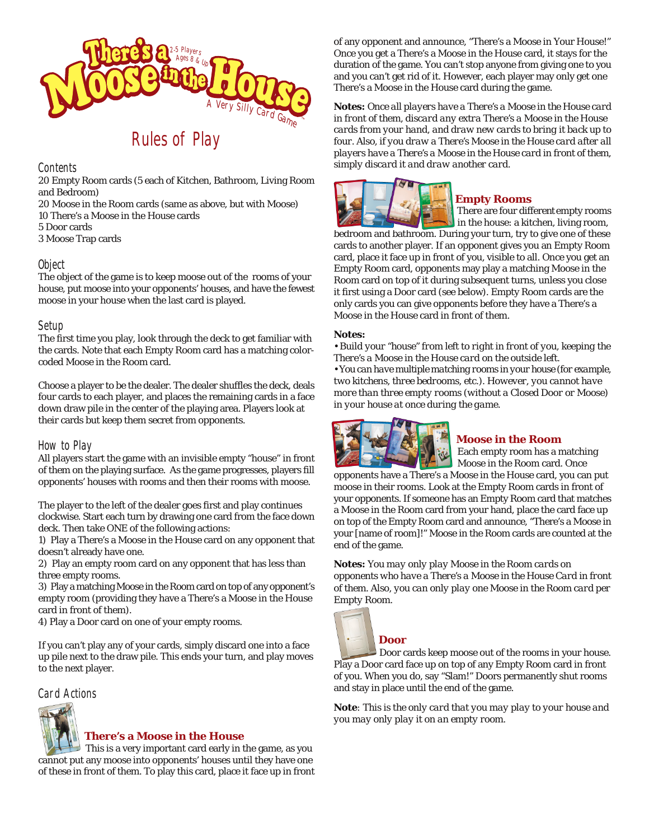

# Rules of Play

### **Contents**

20 Empty Room cards (5 each of Kitchen, Bathroom, Living Room and Bedroom)

- 20 Moose in the Room cards (same as above, but with Moose) 10 There's a Moose in the House cards 5 Door cards
- 3 Moose Trap cards

## Object

The object of the game is to keep moose out of the rooms of your house, put moose into your opponents' houses, and have the fewest moose in your house when the last card is played.

## Setup

The first time you play, look through the deck to get familiar with the cards. Note that each Empty Room card has a matching colorcoded Moose in the Room card.

Choose a player to be the dealer. The dealer shuffles the deck, deals four cards to each player, and places the remaining cards in a face down draw pile in the center of the playing area. Players look at their cards but keep them secret from opponents.

## How to Play

All players start the game with an invisible empty "house" in front of them on the playing surface. As the game progresses, players fill opponents' houses with rooms and then their rooms with moose.

The player to the left of the dealer goes first and play continues clockwise. Start each turn by drawing one card from the face down deck. Then take ONE of the following actions:

1) Play a There's a Moose in the House card on any opponent that doesn't already have one.

2) Play an empty room card on any opponent that has less than three empty rooms.

3) Play a matching Moose in the Room card on top of any opponent's empty room (providing they have a There's a Moose in the House card in front of them).

4) Play a Door card on one of your empty rooms.

If you can't play any of your cards, simply discard one into a face up pile next to the draw pile. This ends your turn, and play moves to the next player.

## Card Actions



#### **There's a Moose in the House**

 This is a very important card early in the game, as you cannot put any moose into opponents' houses until they have one of these in front of them. To play this card, place it face up in front of any opponent and announce, "There's a Moose in Your House!" Once you get a There's a Moose in the House card, it stays for the duration of the game. You can't stop anyone from giving one to you and you can't get rid of it. However, each player may only get one There's a Moose in the House card during the game.

*Notes: Once all players have a There's a Moose in the House card in front of them, discard any extra There's a Moose in the House cards from your hand, and draw new cards to bring it back up to four. Also, if you draw a There's Moose in the House card after all players have a There's a Moose in the House card in front of them, simply discard it and draw another card.*



#### **Empty Rooms**

 There are four different empty rooms in the house: a kitchen, living room,

bedroom and bathroom. During your turn, try to give one of these cards to another player. If an opponent gives you an Empty Room card, place it face up in front of you, visible to all. Once you get an Empty Room card, opponents may play a matching Moose in the Room card on top of it during subsequent turns, unless you close it first using a Door card (see below). Empty Room cards are the only cards you can give opponents before they have a There's a Moose in the House card in front of them.

#### *Notes:*

*• Build your "house" from left to right in front of you, keeping the There's a Moose in the House card on the outside left. • You can have multiple matching rooms in your house (for example, two kitchens, three bedrooms, etc.). However, you cannot have more than three empty rooms (without a Closed Door or Moose) in your house at once during the game.*



## **Moose in the Room**

 Each empty room has a matching Moose in the Room card. Once

opponents have a There's a Moose in the House card, you can put moose in their rooms. Look at the Empty Room cards in front of your opponents. If someone has an Empty Room card that matches a Moose in the Room card from your hand, place the card face up on top of the Empty Room card and announce, "There's a Moose in your [name of room]!" Moose in the Room cards are counted at the end of the game.

*Notes: You may only play Moose in the Room cards on opponents who have a There's a Moose in the House Card in front of them. Also, you can only play one Moose in the Room card per Empty Room.*



**Door**

 Door cards keep moose out of the rooms in your house. Play a Door card face up on top of any Empty Room card in front of you. When you do, say "Slam!" Doors permanently shut rooms and stay in place until the end of the game.

*Note: This is the only card that you may play to your house and you may only play it on an empty room.*